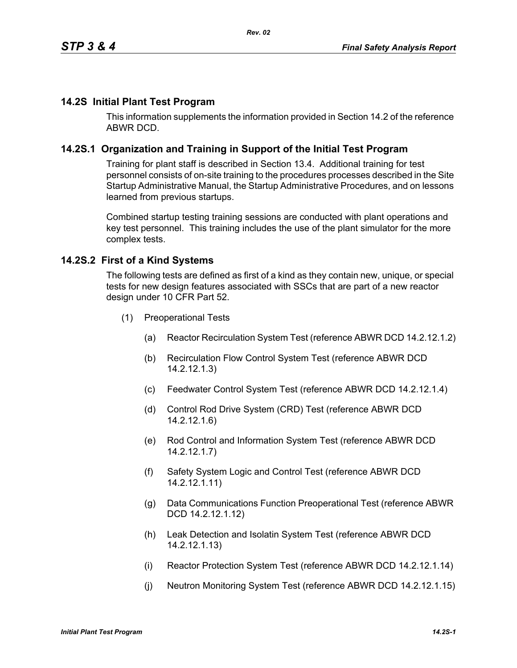# **14.2S Initial Plant Test Program**

This information supplements the information provided in Section 14.2 of the reference ABWR DCD.

## **14.2S.1 Organization and Training in Support of the Initial Test Program**

Training for plant staff is described in Section 13.4. Additional training for test personnel consists of on-site training to the procedures processes described in the Site Startup Administrative Manual, the Startup Administrative Procedures, and on lessons learned from previous startups.

Combined startup testing training sessions are conducted with plant operations and key test personnel. This training includes the use of the plant simulator for the more complex tests.

### **14.2S.2 First of a Kind Systems**

The following tests are defined as first of a kind as they contain new, unique, or special tests for new design features associated with SSCs that are part of a new reactor design under 10 CFR Part 52.

- (1) Preoperational Tests
	- (a) Reactor Recirculation System Test (reference ABWR DCD 14.2.12.1.2)
	- (b) Recirculation Flow Control System Test (reference ABWR DCD 14.2.12.1.3)
	- (c) Feedwater Control System Test (reference ABWR DCD 14.2.12.1.4)
	- (d) Control Rod Drive System (CRD) Test (reference ABWR DCD 14.2.12.1.6)
	- (e) Rod Control and Information System Test (reference ABWR DCD 14.2.12.1.7)
	- (f) Safety System Logic and Control Test (reference ABWR DCD 14.2.12.1.11)
	- (g) Data Communications Function Preoperational Test (reference ABWR DCD 14.2.12.1.12)
	- (h) Leak Detection and Isolatin System Test (reference ABWR DCD 14.2.12.1.13)
	- (i) Reactor Protection System Test (reference ABWR DCD 14.2.12.1.14)
	- (j) Neutron Monitoring System Test (reference ABWR DCD 14.2.12.1.15)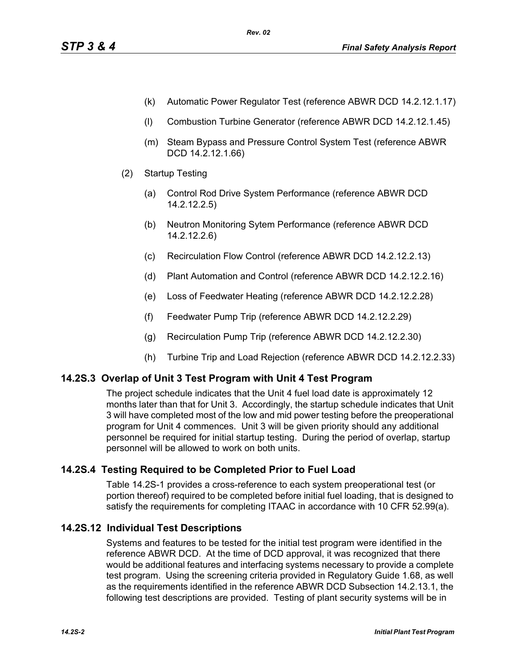- (k) Automatic Power Regulator Test (reference ABWR DCD 14.2.12.1.17)
- (l) Combustion Turbine Generator (reference ABWR DCD 14.2.12.1.45)
- (m) Steam Bypass and Pressure Control System Test (reference ABWR DCD 14.2.12.1.66)
- (2) Startup Testing
	- (a) Control Rod Drive System Performance (reference ABWR DCD 14.2.12.2.5)
	- (b) Neutron Monitoring Sytem Performance (reference ABWR DCD 14.2.12.2.6)
	- (c) Recirculation Flow Control (reference ABWR DCD 14.2.12.2.13)
	- (d) Plant Automation and Control (reference ABWR DCD 14.2.12.2.16)
	- (e) Loss of Feedwater Heating (reference ABWR DCD 14.2.12.2.28)
	- (f) Feedwater Pump Trip (reference ABWR DCD 14.2.12.2.29)
	- (g) Recirculation Pump Trip (reference ABWR DCD 14.2.12.2.30)
	- (h) Turbine Trip and Load Rejection (reference ABWR DCD 14.2.12.2.33)

# **14.2S.3 Overlap of Unit 3 Test Program with Unit 4 Test Program**

The project schedule indicates that the Unit 4 fuel load date is approximately 12 months later than that for Unit 3. Accordingly, the startup schedule indicates that Unit 3 will have completed most of the low and mid power testing before the preoperational program for Unit 4 commences. Unit 3 will be given priority should any additional personnel be required for initial startup testing. During the period of overlap, startup personnel will be allowed to work on both units.

# **14.2S.4 Testing Required to be Completed Prior to Fuel Load**

Table 14.2S-1 provides a cross-reference to each system preoperational test (or portion thereof) required to be completed before initial fuel loading, that is designed to satisfy the requirements for completing ITAAC in accordance with 10 CFR 52.99(a).

# **14.2S.12 Individual Test Descriptions**

Systems and features to be tested for the initial test program were identified in the reference ABWR DCD. At the time of DCD approval, it was recognized that there would be additional features and interfacing systems necessary to provide a complete test program. Using the screening criteria provided in Regulatory Guide 1.68, as well as the requirements identified in the reference ABWR DCD Subsection 14.2.13.1, the following test descriptions are provided. Testing of plant security systems will be in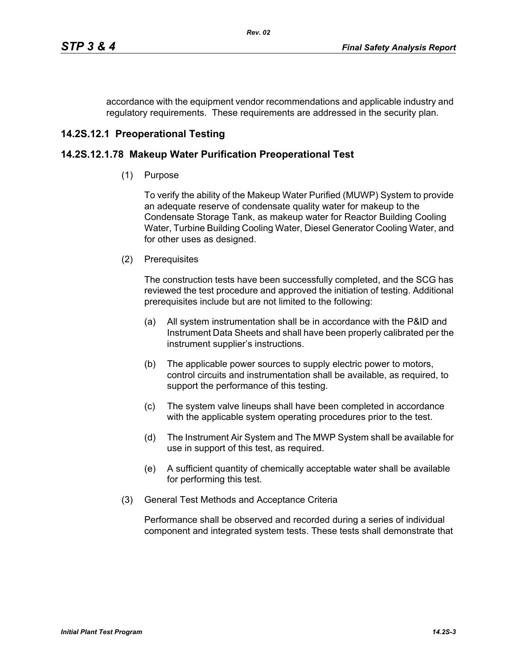accordance with the equipment vendor recommendations and applicable industry and regulatory requirements. These requirements are addressed in the security plan.

# **14.2S.12.1 Preoperational Testing**

# **14.2S.12.1.78 Makeup Water Purification Preoperational Test**

(1) Purpose

To verify the ability of the Makeup Water Purified (MUWP) System to provide an adequate reserve of condensate quality water for makeup to the Condensate Storage Tank, as makeup water for Reactor Building Cooling Water, Turbine Building Cooling Water, Diesel Generator Cooling Water, and for other uses as designed.

(2) Prerequisites

The construction tests have been successfully completed, and the SCG has reviewed the test procedure and approved the initiation of testing. Additional prerequisites include but are not limited to the following:

- (a) All system instrumentation shall be in accordance with the P&ID and Instrument Data Sheets and shall have been properly calibrated per the instrument supplier's instructions.
- (b) The applicable power sources to supply electric power to motors, control circuits and instrumentation shall be available, as required, to support the performance of this testing.
- (c) The system valve lineups shall have been completed in accordance with the applicable system operating procedures prior to the test.
- (d) The Instrument Air System and The MWP System shall be available for use in support of this test, as required.
- (e) A sufficient quantity of chemically acceptable water shall be available for performing this test.
- (3) General Test Methods and Acceptance Criteria

Performance shall be observed and recorded during a series of individual component and integrated system tests. These tests shall demonstrate that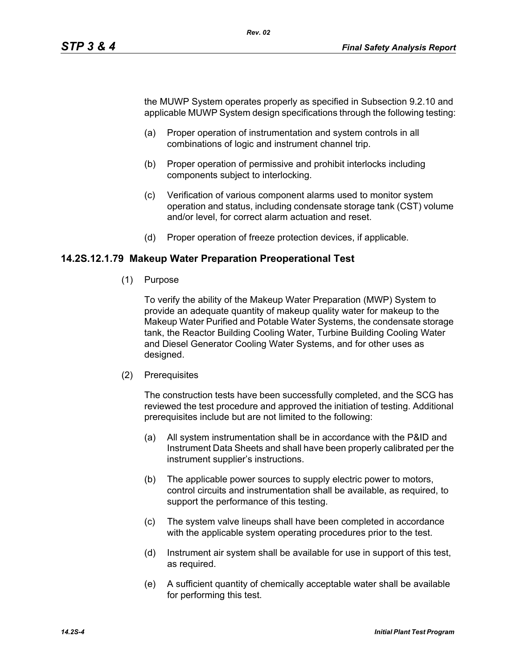the MUWP System operates properly as specified in Subsection 9.2.10 and applicable MUWP System design specifications through the following testing:

- (a) Proper operation of instrumentation and system controls in all combinations of logic and instrument channel trip.
- (b) Proper operation of permissive and prohibit interlocks including components subject to interlocking.
- (c) Verification of various component alarms used to monitor system operation and status, including condensate storage tank (CST) volume and/or level, for correct alarm actuation and reset.
- (d) Proper operation of freeze protection devices, if applicable.

### **14.2S.12.1.79 Makeup Water Preparation Preoperational Test**

(1) Purpose

To verify the ability of the Makeup Water Preparation (MWP) System to provide an adequate quantity of makeup quality water for makeup to the Makeup Water Purified and Potable Water Systems, the condensate storage tank, the Reactor Building Cooling Water, Turbine Building Cooling Water and Diesel Generator Cooling Water Systems, and for other uses as designed.

(2) Prerequisites

The construction tests have been successfully completed, and the SCG has reviewed the test procedure and approved the initiation of testing. Additional prerequisites include but are not limited to the following:

- (a) All system instrumentation shall be in accordance with the P&ID and Instrument Data Sheets and shall have been properly calibrated per the instrument supplier's instructions.
- (b) The applicable power sources to supply electric power to motors, control circuits and instrumentation shall be available, as required, to support the performance of this testing.
- (c) The system valve lineups shall have been completed in accordance with the applicable system operating procedures prior to the test.
- (d) Instrument air system shall be available for use in support of this test, as required.
- (e) A sufficient quantity of chemically acceptable water shall be available for performing this test.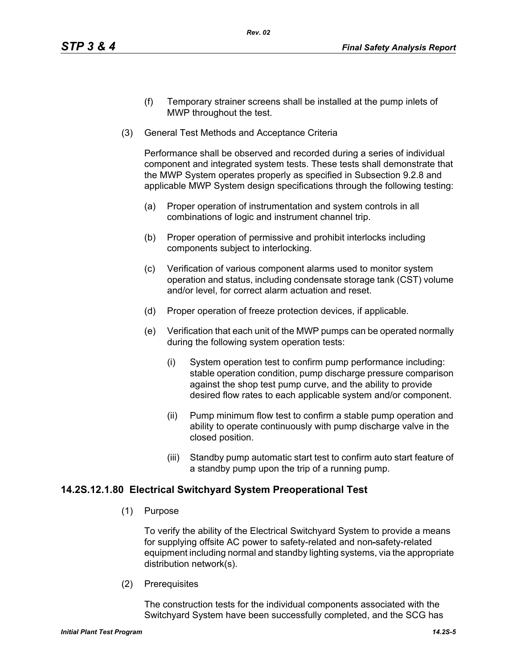- (f) Temporary strainer screens shall be installed at the pump inlets of MWP throughout the test.
- (3) General Test Methods and Acceptance Criteria

Performance shall be observed and recorded during a series of individual component and integrated system tests. These tests shall demonstrate that the MWP System operates properly as specified in Subsection 9.2.8 and applicable MWP System design specifications through the following testing:

- (a) Proper operation of instrumentation and system controls in all combinations of logic and instrument channel trip.
- (b) Proper operation of permissive and prohibit interlocks including components subject to interlocking.
- (c) Verification of various component alarms used to monitor system operation and status, including condensate storage tank (CST) volume and/or level, for correct alarm actuation and reset.
- (d) Proper operation of freeze protection devices, if applicable.
- (e) Verification that each unit of the MWP pumps can be operated normally during the following system operation tests:
	- (i) System operation test to confirm pump performance including: stable operation condition, pump discharge pressure comparison against the shop test pump curve, and the ability to provide desired flow rates to each applicable system and/or component.
	- (ii) Pump minimum flow test to confirm a stable pump operation and ability to operate continuously with pump discharge valve in the closed position.
	- (iii) Standby pump automatic start test to confirm auto start feature of a standby pump upon the trip of a running pump.

### **14.2S.12.1.80 Electrical Switchyard System Preoperational Test**

(1) Purpose

To verify the ability of the Electrical Switchyard System to provide a means for supplying offsite AC power to safety-related and non-safety-related equipment including normal and standby lighting systems, via the appropriate distribution network(s).

(2) Prerequisites

The construction tests for the individual components associated with the Switchyard System have been successfully completed, and the SCG has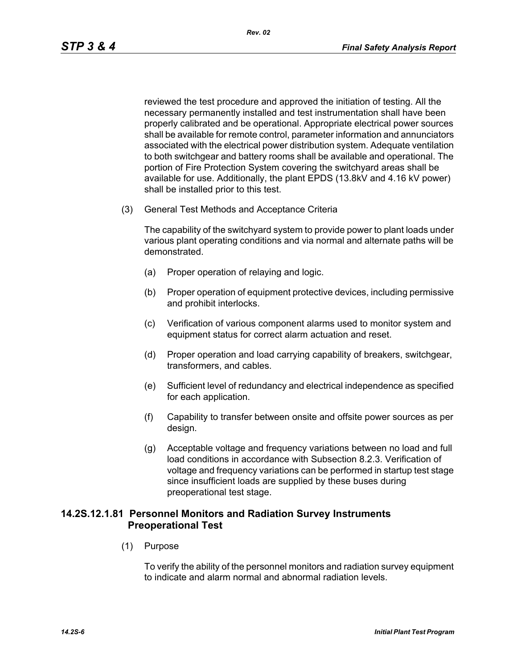reviewed the test procedure and approved the initiation of testing. All the necessary permanently installed and test instrumentation shall have been properly calibrated and be operational. Appropriate electrical power sources shall be available for remote control, parameter information and annunciators associated with the electrical power distribution system. Adequate ventilation to both switchgear and battery rooms shall be available and operational. The portion of Fire Protection System covering the switchyard areas shall be available for use. Additionally, the plant EPDS (13.8kV and 4.16 kV power) shall be installed prior to this test.

(3) General Test Methods and Acceptance Criteria

The capability of the switchyard system to provide power to plant loads under various plant operating conditions and via normal and alternate paths will be demonstrated.

- (a) Proper operation of relaying and logic.
- (b) Proper operation of equipment protective devices, including permissive and prohibit interlocks.
- (c) Verification of various component alarms used to monitor system and equipment status for correct alarm actuation and reset.
- (d) Proper operation and load carrying capability of breakers, switchgear, transformers, and cables.
- (e) Sufficient level of redundancy and electrical independence as specified for each application.
- (f) Capability to transfer between onsite and offsite power sources as per design.
- (g) Acceptable voltage and frequency variations between no load and full load conditions in accordance with Subsection 8.2.3. Verification of voltage and frequency variations can be performed in startup test stage since insufficient loads are supplied by these buses during preoperational test stage.

## **14.2S.12.1.81 Personnel Monitors and Radiation Survey Instruments Preoperational Test**

(1) Purpose

To verify the ability of the personnel monitors and radiation survey equipment to indicate and alarm normal and abnormal radiation levels.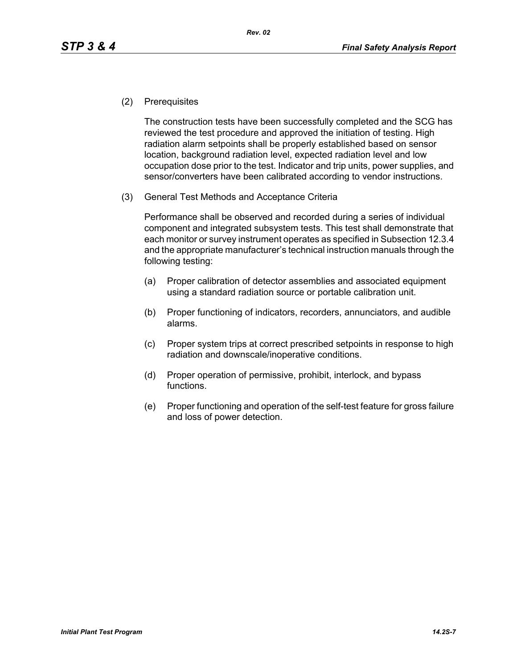(2) Prerequisites

The construction tests have been successfully completed and the SCG has reviewed the test procedure and approved the initiation of testing. High radiation alarm setpoints shall be properly established based on sensor location, background radiation level, expected radiation level and low occupation dose prior to the test. Indicator and trip units, power supplies, and sensor/converters have been calibrated according to vendor instructions.

(3) General Test Methods and Acceptance Criteria

Performance shall be observed and recorded during a series of individual component and integrated subsystem tests. This test shall demonstrate that each monitor or survey instrument operates as specified in Subsection 12.3.4 and the appropriate manufacturer's technical instruction manuals through the following testing:

- (a) Proper calibration of detector assemblies and associated equipment using a standard radiation source or portable calibration unit.
- (b) Proper functioning of indicators, recorders, annunciators, and audible alarms.
- (c) Proper system trips at correct prescribed setpoints in response to high radiation and downscale/inoperative conditions.
- (d) Proper operation of permissive, prohibit, interlock, and bypass functions.
- (e) Proper functioning and operation of the self-test feature for gross failure and loss of power detection.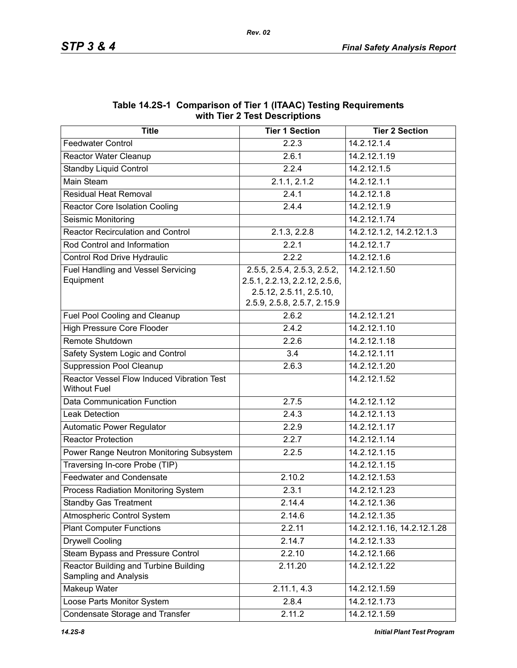| 2  DCJU.DUO<br><b>Title</b><br><b>Tier 1 Section</b><br><b>Tier 2 Section</b> |                                                                                                                        |                            |  |  |
|-------------------------------------------------------------------------------|------------------------------------------------------------------------------------------------------------------------|----------------------------|--|--|
|                                                                               |                                                                                                                        | 14.2.12.1.4                |  |  |
| <b>Feedwater Control</b>                                                      | 2.2.3                                                                                                                  |                            |  |  |
| Reactor Water Cleanup                                                         | 2.6.1                                                                                                                  | 14.2.12.1.19               |  |  |
| Standby Liquid Control                                                        | 2.2.4                                                                                                                  | 14.2.12.1.5                |  |  |
| <b>Main Steam</b>                                                             | 2.1.1, 2.1.2                                                                                                           | 14.2.12.1.1                |  |  |
| <b>Residual Heat Removal</b>                                                  | 2.4.1                                                                                                                  | 14.2.12.1.8                |  |  |
| <b>Reactor Core Isolation Cooling</b>                                         | 2.4.4                                                                                                                  | 14.2.12.1.9                |  |  |
| Seismic Monitoring                                                            |                                                                                                                        | 14.2.12.1.74               |  |  |
| <b>Reactor Recirculation and Control</b>                                      | $2.1.3, 2.2.\overline{8}$                                                                                              | 14.2.12.1.2, 14.2.12.1.3   |  |  |
| Rod Control and Information                                                   | 2.2.1                                                                                                                  | 14.2.12.1.7                |  |  |
| Control Rod Drive Hydraulic                                                   | 2.2.2                                                                                                                  | 14.2.12.1.6                |  |  |
| Fuel Handling and Vessel Servicing<br>Equipment                               | 2.5.5, 2.5.4, 2.5.3, 2.5.2,<br>2.5.1, 2.2.13, 2.2.12, 2.5.6,<br>2.5.12, 2.5.11, 2.5.10,<br>2.5.9, 2.5.8, 2.5.7, 2.15.9 | 14.2.12.1.50               |  |  |
| Fuel Pool Cooling and Cleanup                                                 | 2.6.2                                                                                                                  | 14.2.12.1.21               |  |  |
| <b>High Pressure Core Flooder</b>                                             | 2.4.2                                                                                                                  | 14.2.12.1.10               |  |  |
| Remote Shutdown                                                               | 2.2.6                                                                                                                  | 14.2.12.1.18               |  |  |
| Safety System Logic and Control                                               | 3.4                                                                                                                    | 14.2.12.1.11               |  |  |
| <b>Suppression Pool Cleanup</b>                                               | 2.6.3                                                                                                                  | 14.2.12.1.20               |  |  |
| Reactor Vessel Flow Induced Vibration Test<br><b>Without Fuel</b>             |                                                                                                                        | 14.2.12.1.52               |  |  |
| Data Communication Function                                                   | 2.7.5                                                                                                                  | 14.2.12.1.12               |  |  |
| <b>Leak Detection</b>                                                         | 2.4.3                                                                                                                  | 14.2.12.1.13               |  |  |
| <b>Automatic Power Regulator</b>                                              | 2.2.9                                                                                                                  | 14.2.12.1.17               |  |  |
| <b>Reactor Protection</b>                                                     | 2.2.7                                                                                                                  | 14.2.12.1.14               |  |  |
| Power Range Neutron Monitoring Subsystem                                      | 2.2.5                                                                                                                  | 14.2.12.1.15               |  |  |
| Traversing In-core Probe (TIP)                                                |                                                                                                                        | 14.2.12.1.15               |  |  |
| <b>Feedwater and Condensate</b>                                               | 2.10.2                                                                                                                 | 14.2.12.1.53               |  |  |
| Process Radiation Monitoring System                                           | 2.3.1                                                                                                                  | 14.2.12.1.23               |  |  |
| <b>Standby Gas Treatment</b>                                                  | 2.14.4                                                                                                                 | 14.2.12.1.36               |  |  |
| Atmospheric Control System                                                    | 2.14.6                                                                                                                 | 14.2.12.1.35               |  |  |
| <b>Plant Computer Functions</b>                                               | 2.2.11                                                                                                                 | 14.2.12.1.16, 14.2.12.1.28 |  |  |
| <b>Drywell Cooling</b>                                                        | 2.14.7                                                                                                                 | 14.2.12.1.33               |  |  |
| Steam Bypass and Pressure Control                                             | 2.2.10                                                                                                                 | 14.2.12.1.66               |  |  |
| Reactor Building and Turbine Building<br>Sampling and Analysis                | 2.11.20                                                                                                                | 14.2.12.1.22               |  |  |
| Makeup Water                                                                  | 2.11.1, 4.3                                                                                                            | 14.2.12.1.59               |  |  |
| Loose Parts Monitor System                                                    | 2.8.4                                                                                                                  | 14.2.12.1.73               |  |  |
| Condensate Storage and Transfer                                               | 2.11.2                                                                                                                 | 14.2.12.1.59               |  |  |

#### **Table 14.2S-1 Comparison of Tier 1 (ITAAC) Testing Requirements with Tier 2 Test Descriptions**

*Rev. 02*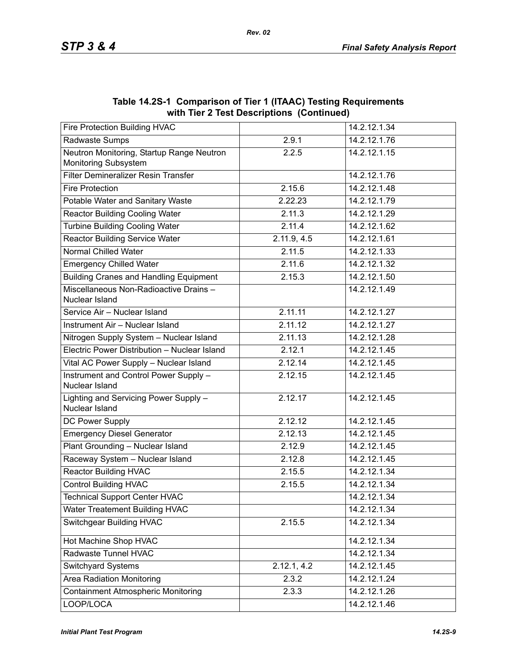|                                                                   | $\frac{1}{100}$ and $\frac{1}{200}$ and $\frac{1}{200}$ be supposed the set of $\frac{1}{200}$ |              |
|-------------------------------------------------------------------|------------------------------------------------------------------------------------------------|--------------|
| Fire Protection Building HVAC                                     |                                                                                                | 14.2.12.1.34 |
| Radwaste Sumps                                                    | 2.9.1                                                                                          | 14.2.12.1.76 |
| Neutron Monitoring, Startup Range Neutron<br>Monitoring Subsystem | 2.2.5                                                                                          | 14.2.12.1.15 |
| Filter Demineralizer Resin Transfer                               |                                                                                                | 14.2.12.1.76 |
| <b>Fire Protection</b>                                            | 2.15.6                                                                                         | 14.2.12.1.48 |
| Potable Water and Sanitary Waste                                  | 2.22.23                                                                                        | 14.2.12.1.79 |
| <b>Reactor Building Cooling Water</b>                             | 2.11.3                                                                                         | 14.2.12.1.29 |
| <b>Turbine Building Cooling Water</b>                             | 2.11.4                                                                                         | 14.2.12.1.62 |
| <b>Reactor Building Service Water</b>                             | 2.11.9, 4.5                                                                                    | 14.2.12.1.61 |
| <b>Normal Chilled Water</b>                                       | 2.11.5                                                                                         | 14.2.12.1.33 |
| <b>Emergency Chilled Water</b>                                    | 2.11.6                                                                                         | 14.2.12.1.32 |
| <b>Building Cranes and Handling Equipment</b>                     | 2.15.3                                                                                         | 14.2.12.1.50 |
| Miscellaneous Non-Radioactive Drains-<br>Nuclear Island           |                                                                                                | 14.2.12.1.49 |
| Service Air - Nuclear Island                                      | 2.11.11                                                                                        | 14.2.12.1.27 |
| Instrument Air - Nuclear Island                                   | 2.11.12                                                                                        | 14.2.12.1.27 |
| Nitrogen Supply System - Nuclear Island                           | 2.11.13                                                                                        | 14.2.12.1.28 |
| Electric Power Distribution - Nuclear Island                      | 2.12.1                                                                                         | 14.2.12.1.45 |
| Vital AC Power Supply - Nuclear Island                            | 2.12.14                                                                                        | 14.2.12.1.45 |
| Instrument and Control Power Supply -<br>Nuclear Island           | 2.12.15                                                                                        | 14.2.12.1.45 |
| Lighting and Servicing Power Supply -<br>Nuclear Island           | 2.12.17                                                                                        | 14.2.12.1.45 |
| DC Power Supply                                                   | 2.12.12                                                                                        | 14.2.12.1.45 |
| <b>Emergency Diesel Generator</b>                                 | 2.12.13                                                                                        | 14.2.12.1.45 |
| Plant Grounding - Nuclear Island                                  | 2.12.9                                                                                         | 14.2.12.1.45 |
| Raceway System - Nuclear Island                                   | 2.12.8                                                                                         | 14.2.12.1.45 |
| <b>Reactor Building HVAC</b>                                      | 2.15.5                                                                                         | 14.2.12.1.34 |
| <b>Control Building HVAC</b>                                      | 2.15.5                                                                                         | 14.2.12.1.34 |
| <b>Technical Support Center HVAC</b>                              |                                                                                                | 14.2.12.1.34 |
| Water Treatement Building HVAC                                    |                                                                                                | 14.2.12.1.34 |
| <b>Switchgear Building HVAC</b>                                   | 2.15.5                                                                                         | 14.2.12.1.34 |
| Hot Machine Shop HVAC                                             |                                                                                                | 14.2.12.1.34 |
| Radwaste Tunnel HVAC                                              |                                                                                                | 14.2.12.1.34 |
| Switchyard Systems                                                | 2.12.1, 4.2                                                                                    | 14.2.12.1.45 |
| <b>Area Radiation Monitoring</b>                                  | 2.3.2                                                                                          | 14.2.12.1.24 |
| <b>Containment Atmospheric Monitoring</b>                         | 2.3.3                                                                                          | 14.2.12.1.26 |
| LOOP/LOCA                                                         |                                                                                                | 14.2.12.1.46 |

**Table 14.2S-1 Comparison of Tier 1 (ITAAC) Testing Requirements with Tier 2 Test Descriptions (Continued)**